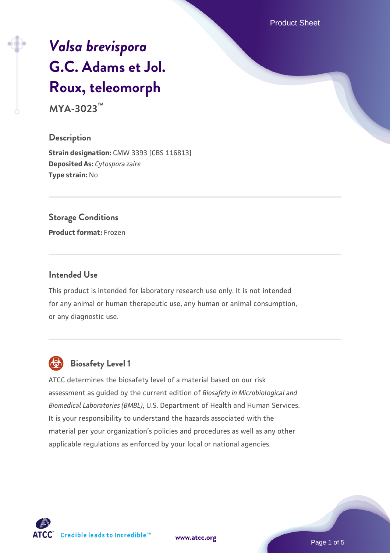Product Sheet

# *[Valsa brevispora](https://www.atcc.org/products/mya-3023)* **[G.C. Adams et Jol.](https://www.atcc.org/products/mya-3023) [Roux, teleomorph](https://www.atcc.org/products/mya-3023)**

**MYA-3023™**

#### **Description**

**Strain designation: CMW 3393 [CBS 116813] Deposited As:** *Cytospora zaire* **Type strain:** No

#### **Storage Conditions**

**Product format:** Frozen

#### **Intended Use**

This product is intended for laboratory research use only. It is not intended for any animal or human therapeutic use, any human or animal consumption, or any diagnostic use.



## **Biosafety Level 1**

ATCC determines the biosafety level of a material based on our risk assessment as guided by the current edition of *Biosafety in Microbiological and Biomedical Laboratories (BMBL)*, U.S. Department of Health and Human Services. It is your responsibility to understand the hazards associated with the material per your organization's policies and procedures as well as any other applicable regulations as enforced by your local or national agencies.

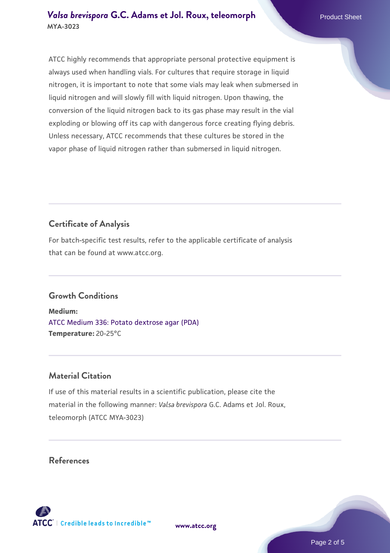ATCC highly recommends that appropriate personal protective equipment is always used when handling vials. For cultures that require storage in liquid nitrogen, it is important to note that some vials may leak when submersed in liquid nitrogen and will slowly fill with liquid nitrogen. Upon thawing, the conversion of the liquid nitrogen back to its gas phase may result in the vial exploding or blowing off its cap with dangerous force creating flying debris. Unless necessary, ATCC recommends that these cultures be stored in the vapor phase of liquid nitrogen rather than submersed in liquid nitrogen.

### **Certificate of Analysis**

For batch-specific test results, refer to the applicable certificate of analysis that can be found at www.atcc.org.

#### **Growth Conditions**

**Medium:**  [ATCC Medium 336: Potato dextrose agar \(PDA\)](https://www.atcc.org/-/media/product-assets/documents/microbial-media-formulations/3/3/6/atcc-medium-336.pdf?rev=d9160ad44d934cd8b65175461abbf3b9) **Temperature:** 20-25°C

#### **Material Citation**

If use of this material results in a scientific publication, please cite the material in the following manner: *Valsa brevispora* G.C. Adams et Jol. Roux, teleomorph (ATCC MYA-3023)

#### **References**

**[www.atcc.org](http://www.atcc.org)**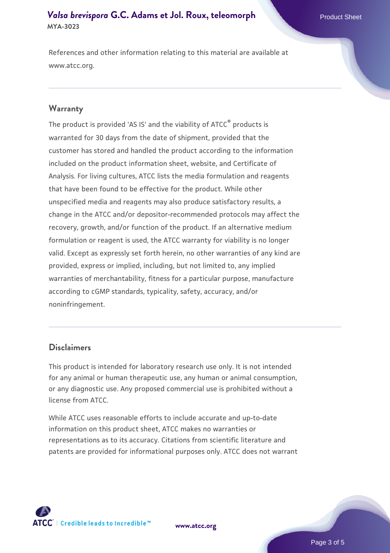#### **[Valsa brevispora](https://www.atcc.org/products/mya-3023) [G.C. Adams et Jol. Roux, teleomorph](https://www.atcc.org/products/mya-3023)** Product Sheet **MYA-3023**

References and other information relating to this material are available at www.atcc.org.

#### **Warranty**

The product is provided 'AS IS' and the viability of ATCC® products is warranted for 30 days from the date of shipment, provided that the customer has stored and handled the product according to the information included on the product information sheet, website, and Certificate of Analysis. For living cultures, ATCC lists the media formulation and reagents that have been found to be effective for the product. While other unspecified media and reagents may also produce satisfactory results, a change in the ATCC and/or depositor-recommended protocols may affect the recovery, growth, and/or function of the product. If an alternative medium formulation or reagent is used, the ATCC warranty for viability is no longer valid. Except as expressly set forth herein, no other warranties of any kind are provided, express or implied, including, but not limited to, any implied warranties of merchantability, fitness for a particular purpose, manufacture according to cGMP standards, typicality, safety, accuracy, and/or noninfringement.

#### **Disclaimers**

This product is intended for laboratory research use only. It is not intended for any animal or human therapeutic use, any human or animal consumption, or any diagnostic use. Any proposed commercial use is prohibited without a license from ATCC.

While ATCC uses reasonable efforts to include accurate and up-to-date information on this product sheet, ATCC makes no warranties or representations as to its accuracy. Citations from scientific literature and patents are provided for informational purposes only. ATCC does not warrant



**[www.atcc.org](http://www.atcc.org)**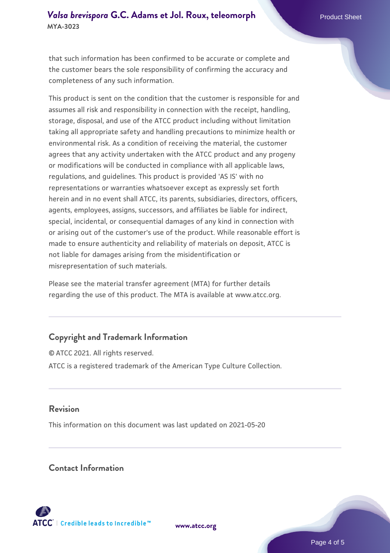#### **[Valsa brevispora](https://www.atcc.org/products/mya-3023) [G.C. Adams et Jol. Roux, teleomorph](https://www.atcc.org/products/mya-3023)** Product Sheet **MYA-3023**

that such information has been confirmed to be accurate or complete and the customer bears the sole responsibility of confirming the accuracy and completeness of any such information.

This product is sent on the condition that the customer is responsible for and assumes all risk and responsibility in connection with the receipt, handling, storage, disposal, and use of the ATCC product including without limitation taking all appropriate safety and handling precautions to minimize health or environmental risk. As a condition of receiving the material, the customer agrees that any activity undertaken with the ATCC product and any progeny or modifications will be conducted in compliance with all applicable laws, regulations, and guidelines. This product is provided 'AS IS' with no representations or warranties whatsoever except as expressly set forth herein and in no event shall ATCC, its parents, subsidiaries, directors, officers, agents, employees, assigns, successors, and affiliates be liable for indirect, special, incidental, or consequential damages of any kind in connection with or arising out of the customer's use of the product. While reasonable effort is made to ensure authenticity and reliability of materials on deposit, ATCC is not liable for damages arising from the misidentification or misrepresentation of such materials.

Please see the material transfer agreement (MTA) for further details regarding the use of this product. The MTA is available at www.atcc.org.

#### **Copyright and Trademark Information**

© ATCC 2021. All rights reserved. ATCC is a registered trademark of the American Type Culture Collection.

#### **Revision**

This information on this document was last updated on 2021-05-20

#### **Contact Information**



**[www.atcc.org](http://www.atcc.org)**

Page 4 of 5